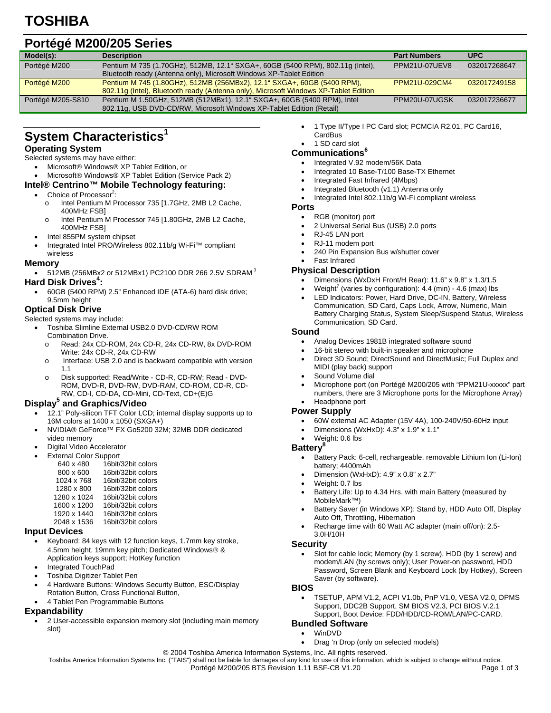### **Portégé M200/205 Series**

| Model(s):         | <b>Description</b>                                                                   | <b>Part Numbers</b> | <b>UPC</b>   |
|-------------------|--------------------------------------------------------------------------------------|---------------------|--------------|
| Portégé M200      | Pentium M 735 (1.70GHz), 512MB, 12.1" SXGA+, 60GB (5400 RPM), 802.11g (Intel),       | PPM21U-07UEV8       | 032017268647 |
|                   | Bluetooth ready (Antenna only), Microsoft Windows XP-Tablet Edition                  |                     |              |
| Portégé M200      | Pentium M 745 (1.80GHz), 512MB (256MBx2), 12.1" SXGA+, 60GB (5400 RPM),              | PPM21U-029CM4       | 032017249158 |
|                   | 802.11g (Intel), Bluetooth ready (Antenna only), Microsoft Windows XP-Tablet Edition |                     |              |
| Portégé M205-S810 | Pentium M 1.50GHz, 512MB (512MBx1), 12.1 "SXGA+, 60GB (5400 RPM), Intel              | PPM20U-07UGSK       | 032017236677 |
|                   | 802.11g, USB DVD-CD/RW, Microsoft Windows XP-Tablet Edition (Retail)                 |                     |              |

## **System Characteristics1**

#### **Operating System**

- Selected systems may have either:
	- Microsoft® Windows® XP Tablet Edition, or
	- Microsoft® Windows® XP Tablet Edition (Service Pack 2)

#### **Intel® Centrino™ Mobile Technology featuring:**

- Choice of Processor<sup>2</sup>:
	- o Intel Pentium M Processor 735 [1.7GHz, 2MB L2 Cache, 400MHz FSB]
	- o Intel Pentium M Processor 745 [1.80GHz, 2MB L2 Cache, 400MHz FSB]
- Intel 855PM system chipset
- Integrated Intel PRO/Wireless 802.11b/g Wi-Fi™ compliant wireless

#### **Memory**

 $\bullet$  512MB (256MBx2 or 512MBx1) PC2100 DDR 266 2.5V SDRAM  $^3$ 

#### Hard Disk Drives<sup>4</sup>:

• 60GB (5400 RPM) 2.5" Enhanced IDE (ATA-6) hard disk drive; 9.5mm height

#### **Optical Disk Drive**

#### Selected systems may include:

- Toshiba Slimline External USB2.0 DVD-CD/RW ROM Combination Drive.
	- o Read: 24x CD-ROM, 24x CD-R, 24x CD-RW, 8x DVD-ROM Write: 24x CD-R, 24x CD-RW
	- o Interface: USB 2.0 and is backward compatible with version 1.1
	- o Disk supported: Read/Write CD-R, CD-RW; Read DVD-ROM, DVD-R, DVD-RW, DVD-RAM, CD-ROM, CD-R, CD-RW, CD-I, CD-DA, CD-Mini, CD-Text, CD+(E)G

#### **Display5 and Graphics/Video**

- 12.1" Poly-silicon TFT Color LCD; internal display supports up to 16M colors at 1400 x 1050 (SXGA+)
- NVIDIA® GeForce™ FX Go5200 32M; 32MB DDR dedicated video memory
- Digital Video Accelerator
- **External Color Support**

| 640 x 480   | 16bit/32bit colors |
|-------------|--------------------|
| 800 x 600   | 16bit/32bit colors |
| 1024 x 768  | 16bit/32bit colors |
| 1280 x 800  | 16bit/32bit colors |
| 1280 x 1024 | 16bit/32bit colors |
| 1600 x 1200 | 16bit/32bit colors |
| 1920 x 1440 | 16bit/32bit colors |
|             |                    |

#### 2048 x 1536 16bit/32bit colors **Input Devices**

- Keyboard: 84 keys with 12 function keys, 1.7mm key stroke, 4.5mm height, 19mm key pitch; Dedicated Windows® & Application keys support; HotKey function
- Integrated TouchPad
- Toshiba Digitizer Tablet Pen
- 4 Hardware Buttons: Windows Security Button, ESC/Display Rotation Button, Cross Functional Button,
- 4 Tablet Pen Programmable Buttons

#### **Expandability**

• 2 User-accessible expansion memory slot (including main memory slot)

- 1 Type II/Type I PC Card slot; PCMCIA R2.01, PC Card16, **CardBus**
- 1 SD card slot

#### **Communications6**

- Integrated V.92 modem/56K Data
- Integrated 10 Base-T/100 Base-TX Ethernet
- Integrated Fast Infrared (4Mbps)
- Integrated Bluetooth (v1.1) Antenna only
- Integrated Intel 802.11b/g Wi-Fi compliant wireless

#### **Ports**

- RGB (monitor) port
- 2 Universal Serial Bus (USB) 2.0 ports
- RJ-45 LAN port
- RJ-11 modem port
- 240 Pin Expansion Bus w/shutter cover
- Fast Infrared

#### **Physical Description**

- Dimensions (WxDxH Front/H Rear): 11.6" x 9.8" x 1.3/1.5
- Weight<sup>7</sup> (varies by configuration):  $4.4$  (min)  $4.6$  (max) lbs
- LED Indicators: Power, Hard Drive, DC-IN, Battery, Wireless Communication, SD Card, Caps Lock, Arrow, Numeric, Main Battery Charging Status, System Sleep/Suspend Status, Wireless Communication, SD Card.

#### **Sound**

- Analog Devices 1981B integrated software sound
- 16-bit stereo with built-in speaker and microphone
- Direct 3D Sound; DirectSound and DirectMusic; Full Duplex and MIDI (play back) support
- Sound Volume dial
- Microphone port (on Portégé M200/205 with "PPM21U-xxxxx" part numbers, there are 3 Microphone ports for the Microphone Array) • Headphone port

#### **Power Supply**

- 60W external AC Adapter (15V 4A), 100-240V/50-60Hz input
- Dimensions (WxHxD): 4.3" x 1.9" x 1.1"
- Weight: 0.6 lbs

#### **Battery8**

- Battery Pack: 6-cell, rechargeable, removable Lithium Ion (Li-Ion) battery; 4400mAh
- Dimension (WxHxD): 4.9" x 0.8" x 2.7"
- Weight: 0.7 lbs
- Battery Life: Up to 4.34 Hrs. with main Battery (measured by MobileMark™)
- Battery Saver (in Windows XP): Stand by, HDD Auto Off, Display Auto Off, Throttling, Hibernation
- Recharge time with 60 Watt AC adapter (main off/on): 2.5- 3.0H/10H

#### **Security**

Slot for cable lock; Memory (by 1 screw), HDD (by 1 screw) and modem/LAN (by screws only); User Power-on password, HDD Password, Screen Blank and Keyboard Lock (by Hotkey), Screen Saver (by software).

#### **BIOS**

• TSETUP, APM V1.2, ACPI V1.0b, PnP V1.0, VESA V2.0, DPMS Support, DDC2B Support, SM BIOS V2.3, PCI BIOS V.2.1 Support, Boot Device: FDD/HDD/CD-ROM/LAN/PC-CARD.

#### **Bundled Software**

- WinDVD
	- Drag 'n Drop (only on selected models)

© 2004 Toshiba America Information Systems, Inc. All rights reserved.

Toshiba America Information Systems Inc. ("TAIS") shall not be liable for damages of any kind for use of this information, which is subject to change without notice.<br>Page 1 of 3<br>Page 1 of 3 Portégé M200/205 BTS Revision 1.11 BSF-CB V1.20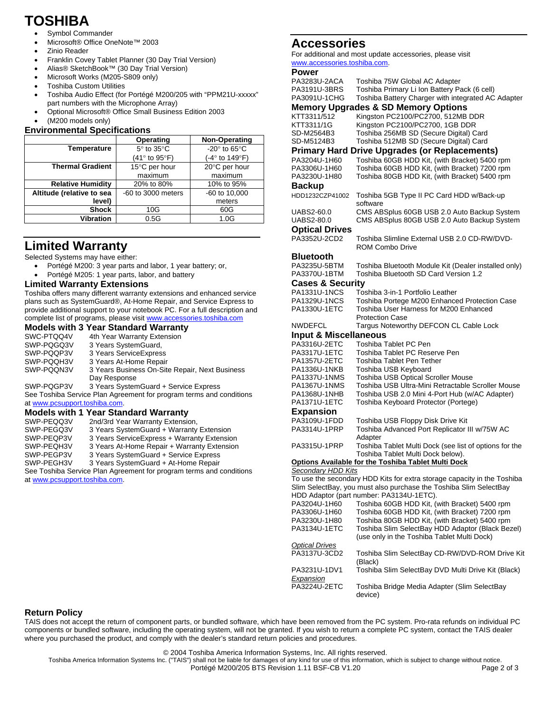# **TOSHIBA**

- Symbol Commander
- Microsoft® Office OneNote™ 2003
- Zinio Reader
- Franklin Covey Tablet Planner (30 Day Trial Version)
- Alias® SketchBook™ (30 Day Trial Version)
- Microsoft Works (M205-S809 only)
- Toshiba Custom Utilities
- Toshiba Audio Effect (for Portégé M200/205 with "PPM21U-xxxxx" part numbers with the Microphone Array)
- Optional Microsoft® Office Small Business Edition 2003
- (M200 models only)

#### **Environmental Specifications**

|                           | Operating                         | Non-Operating                   |
|---------------------------|-----------------------------------|---------------------------------|
| Temperature               | $5^\circ$ to $35^\circ$ C         | -20 $\degree$ to 65 $\degree$ C |
|                           | $(41^{\circ}$ to 95 $^{\circ}$ F) | (-4° to 149°F)                  |
| <b>Thermal Gradient</b>   | 15°C per hour                     | 20°C per hour                   |
|                           | maximum                           | maximum                         |
| <b>Relative Humidity</b>  | 20% to 80%                        | 10% to 95%                      |
| Altitude (relative to sea | -60 to 3000 meters                | -60 to 10,000                   |
| level)                    |                                   | meters                          |
| <b>Shock</b>              | 10G                               | 60G                             |
| <b>Vibration</b>          | 0.5G                              | 1.0G                            |

## **Limited Warranty**

Selected Systems may have either:

- Portégé M200: 3 year parts and labor, 1 year battery; or,
- Portégé M205: 1 year parts, labor, and battery

#### **Limited Warranty Extensions**

Toshiba offers many different warranty extensions and enhanced service plans such as SystemGuard®, At-Home Repair, and Service Express to provide additional support to your notebook PC. For a full description and complete list of programs, please visit www.accessories.toshiba.com

|                               | <b>Models with 3 Year Standard Warranty</b>                         |
|-------------------------------|---------------------------------------------------------------------|
| SWC-PTQQ4V                    | 4th Year Warranty Extension                                         |
| SWP-PQGQ3V                    | 3 Years SystemGuard,                                                |
| SWP-PQQP3V                    | 3 Years Service Express                                             |
| SWP-PQQH3V                    | 3 Years At-Home Repair                                              |
| SWP-PQQN3V                    | 3 Years Business On-Site Repair, Next Business                      |
|                               | Day Response                                                        |
| SWP-PQGP3V                    | 3 Years SystemGuard + Service Express                               |
|                               | See Toshiba Service Plan Agreement for program terms and conditions |
| at www.pcsupport.toshiba.com. |                                                                     |
|                               | <b>Models with 1 Year Standard Warranty</b>                         |
| SWP-PEQQ3V                    | 2nd/3rd Year Warranty Extension,                                    |
| SWP-PEGO3V                    | 3 Years SystemGuard + Warranty Extension                            |
| SWP-PEQP3V                    | 3 Years Service Express + Warranty Extension                        |
| SWP-PEQH3V                    | 3 Years At-Home Repair + Warranty Extension                         |
| CIND DECD21/                  | 2 Voors System Guard L. Senzice Express                             |

SWP-PEGP3V 3 Years SystemGuard + Service Express SWP-PEGH3V 3 Years SystemGuard + At-Home Repair See Toshiba Service Plan Agreement for program terms and conditions

at www.pcsupport.toshiba.com.

### **Accessories**

For additional and most update accessories, please visit www.accessories.toshiba.com.

## **P**<sub>P</sub>

| rower                        |                                                                                         |
|------------------------------|-----------------------------------------------------------------------------------------|
| PA3283U-2ACA                 | Toshiba 75W Global AC Adapter                                                           |
| PA3191U-3BRS                 | Toshiba Primary Li Ion Battery Pack (6 cell)                                            |
| PA3091U-1CHG                 | Toshiba Battery Charger with integrated AC Adapter                                      |
|                              | <b>Memory Upgrades &amp; SD Memory Options</b>                                          |
| KTT3311/512                  | Kingston PC2100/PC2700, 512MB DDR                                                       |
| KTT3311/1G                   | Kingston PC2100/PC2700, 1GB DDR                                                         |
| SD-M2564B3                   | Toshiba 256MB SD (Secure Digital) Card                                                  |
| SD-M5124B3                   | Toshiba 512MB SD (Secure Digital) Card                                                  |
|                              |                                                                                         |
|                              | <b>Primary Hard Drive Upgrades (or Replacements)</b>                                    |
| PA3204U-1H60                 | Toshiba 60GB HDD Kit, (with Bracket) 5400 rpm                                           |
| PA3306U-1H60                 | Toshiba 60GB HDD Kit, (with Bracket) 7200 rpm                                           |
| PA3230U-1H80                 | Toshiba 80GB HDD Kit, (with Bracket) 5400 rpm                                           |
| Backup                       |                                                                                         |
| HDD1232CZP41002              | Toshiba 5GB Type II PC Card HDD w/Back-up                                               |
|                              | software                                                                                |
| UABS2-60.0                   | CMS ABSplus 60GB USB 2.0 Auto Backup System                                             |
| UABS2-80.0                   | CMS ABSplus 80GB USB 2.0 Auto Backup System                                             |
|                              |                                                                                         |
| <b>Optical Drives</b>        |                                                                                         |
| PA3352U-2CD2                 | Toshiba Slimline External USB 2.0 CD-RW/DVD-                                            |
|                              | <b>ROM Combo Drive</b>                                                                  |
| Bluetooth                    |                                                                                         |
| PA3235U-5BTM                 | Toshiba Bluetooth Module Kit (Dealer installed only)                                    |
| PA3370U-1BTM                 | Toshiba Bluetooth SD Card Version 1.2                                                   |
| <b>Cases &amp; Security</b>  |                                                                                         |
| PA1331U-1NCS                 | Toshiba 3-in-1 Portfolio Leather                                                        |
|                              |                                                                                         |
| PA1329U-1NCS<br>PA1330U-1ETC | Toshiba Portege M200 Enhanced Protection Case<br>Toshiba User Harness for M200 Enhanced |
|                              |                                                                                         |
|                              | <b>Protection Case</b>                                                                  |
| NWDEFCL                      | Targus Noteworthy DEFCON CL Cable Lock                                                  |
| Input & Miscellaneous        |                                                                                         |
| PA3316U-2ETC                 | Toshiba Tablet PC Pen                                                                   |
| PA3317U-1ETC                 | Toshiba Tablet PC Reserve Pen                                                           |
| PA1357U-2ETC                 | Toshiba Tablet Pen Tether                                                               |
| PA1336U-1NKB                 | Toshiba USB Keyboard                                                                    |
| PA1337U-1NMS                 | <b>Toshiba USB Optical Scroller Mouse</b>                                               |
| PA1367U-1NMS                 | Toshiba USB Ultra-Mini Retractable Scroller Mouse                                       |
| PA1368U-1NHB                 | Toshiba USB 2.0 Mini 4-Port Hub (w/AC Adapter)                                          |
| PA1371U-1ETC                 | Toshiba Keyboard Protector (Portege)                                                    |
| Expansion                    |                                                                                         |
|                              |                                                                                         |
| PA3109U-1FDD                 | Toshiba USB Floppy Disk Drive Kit                                                       |
| PA3314U-1PRP                 | Toshiba Advanced Port Replicator III w/75W AC                                           |
|                              | Adapter                                                                                 |
| PA3315U-1PRP                 | Toshiba Tablet Multi Dock (see list of options for the                                  |
|                              | Toshiba Tablet Multi Dock below).                                                       |
|                              | <b>Options Available for the Toshiba Tablet Multi Dock</b>                              |
| Secondary HDD Kits           |                                                                                         |
|                              | To use the secondary HDD Kits for extra storage capacity in the Toshiba                 |
|                              | Slim SelectBay, you must also purchase the Toshiba Slim SelectBay                       |
|                              | HDD Adaptor (part number: PA3134U-1ETC).                                                |
| PA3204U-1H60                 | Toshiba 60GB HDD Kit, (with Bracket) 5400 rpm                                           |
| PA3306U-1H60                 | Toshiba 60GB HDD Kit, (with Bracket) 7200 rpm                                           |
| PA3230U-1H80                 | Toshiba 80GB HDD Kit, (with Bracket) 5400 rpm                                           |
| PA3134U-1ETC                 | Toshiba Slim SelectBay HDD Adaptor (Black Bezel)                                        |
|                              | (use only in the Toshiba Tablet Multi Dock)                                             |
| <b>Optical Drives</b>        |                                                                                         |
| PA3137U-3CD2                 | Toshiba Slim SelectBay CD-RW/DVD-ROM Drive Kit                                          |
|                              | (Black)                                                                                 |
| PA3231U-1DV1                 | Toshiba Slim SelectBay DVD Multi Drive Kit (Black)                                      |
| Expansion                    |                                                                                         |
| PA3224U-2ETC                 |                                                                                         |
|                              | Toshiba Bridge Media Adapter (Slim SelectBay                                            |
|                              | device)                                                                                 |

#### **Return Policy**

TAIS does not accept the return of component parts, or bundled software, which have been removed from the PC system. Pro-rata refunds on individual PC components or bundled software, including the operating system, will not be granted. If you wish to return a complete PC system, contact the TAIS dealer where you purchased the product, and comply with the dealer's standard return policies and procedures.

© 2004 Toshiba America Information Systems, Inc. All rights reserved.

Toshiba America Information Systems Inc. ("TAIS") shall not be liable for damages of any kind for use of this information, which is subject to change without notice.<br>Page 2 of 3<br>Page 2 of 3

Portégé M200/205 BTS Revision 1.11 BSF-CB V1.20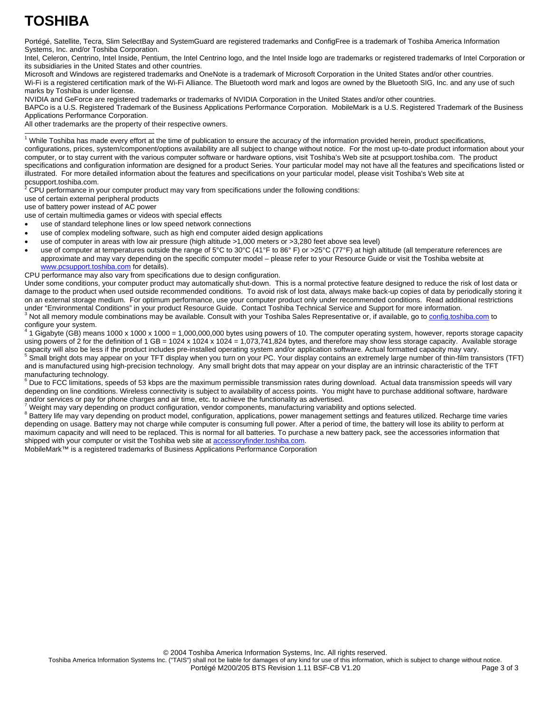# **TOSHIBA**

Portégé, Satellite, Tecra, Slim SelectBay and SystemGuard are registered trademarks and ConfigFree is a trademark of Toshiba America Information Systems, Inc. and/or Toshiba Corporation.

Intel, Celeron, Centrino, Intel Inside, Pentium, the Intel Centrino logo, and the Intel Inside logo are trademarks or registered trademarks of Intel Corporation or its subsidiaries in the United States and other countries.

Microsoft and Windows are registered trademarks and OneNote is a trademark of Microsoft Corporation in the United States and/or other countries. Wi-Fi is a registered certification mark of the Wi-Fi Alliance. The Bluetooth word mark and logos are owned by the Bluetooth SIG, Inc. and any use of such marks by Toshiba is under license.

NVIDIA and GeForce are registered trademarks or trademarks of NVIDIA Corporation in the United States and/or other countries.

BAPCo is a U.S. Registered Trademark of the Business Applications Performance Corporation. MobileMark is a U.S. Registered Trademark of the Business Applications Performance Corporation.

All other trademarks are the property of their respective owners.

 1 While Toshiba has made every effort at the time of publication to ensure the accuracy of the information provided herein, product specifications, configurations, prices, system/component/options availability are all subject to change without notice. For the most up-to-date product information about your computer, or to stay current with the various computer software or hardware options, visit Toshiba's Web site at pcsupport.toshiba.com. The product specifications and configuration information are designed for a product Series. Your particular model may not have all the features and specifications listed or illustrated. For more detailed information about the features and specifications on your particular model, please visit Toshiba's Web site at pcsupport.toshiba.com.<br><sup>2</sup> CDU performance in v

CPU performance in your computer product may vary from specifications under the following conditions:

use of certain external peripheral products

use of battery power instead of AC power

use of certain multimedia games or videos with special effects

• use of standard telephone lines or low speed network connections

- use of complex modeling software, such as high end computer aided design applications
- use of computer in areas with low air pressure (high altitude >1,000 meters or >3,280 feet above sea level)
- use of computer at temperatures outside the range of 5°C to 30°C (41°F to 86° F) or >25°C (77°F) at high altitude (all temperature references are approximate and may vary depending on the specific computer model – please refer to your Resource Guide or visit the Toshiba website at www.pcsupport.toshiba.com for details).

CPU performance may also vary from specifications due to design configuration.

Under some conditions, your computer product may automatically shut-down. This is a normal protective feature designed to reduce the risk of lost data or damage to the product when used outside recommended conditions. To avoid risk of lost data, always make back-up copies of data by periodically storing it on an external storage medium. For optimum performance, use your computer product only under recommended conditions. Read additional restrictions under "Environmental Conditions" in your product Resource Guide. Contact Toshiba Technical Service and Support for more information. 3 <sup>3</sup> Not all memory module combinations may be available. Consult with your Toshiba Sales Representative or, if available, go to config.toshiba.com to

configure your system.<br><sup>4</sup> 4 Cischute (CB) maar 1 Gigabyte (GB) means 1000 x 1000 x 1000 = 1,000,000,000 bytes using powers of 10. The computer operating system, however, reports storage capacity using powers of 2 for the definition of 1 GB = 1024 x 1024 = 1,073,741,824 bytes, and therefore may show less storage capacity. Available storage capacity will also be less if the product includes pre-installed operating system and/or application software. Actual formatted capacity may vary.

 Small bright dots may appear on your TFT display when you turn on your PC. Your display contains an extremely large number of thin-film transistors (TFT) and is manufactured using high-precision technology. Any small bright dots that may appear on your display are an intrinsic characteristic of the TFT manufacturing technology

 $^6$  Due to FCC limitations, speeds of 53 kbps are the maximum permissible transmission rates during download. Actual data transmission speeds will vary depending on line conditions. Wireless connectivity is subject to availability of access points. You might have to purchase additional software, hardware and/or services or pay for phone charges and air time, etc. to achieve the functionality as advertised. 7

Weight may vary depending on product configuration, vendor components, manufacturing variability and options selected. 8

Battery life may vary depending on product model, configuration, applications, power management settings and features utilized. Recharge time varies depending on usage. Battery may not charge while computer is consuming full power. After a period of time, the battery will lose its ability to perform at maximum capacity and will need to be replaced. This is normal for all batteries. To purchase a new battery pack, see the accessories information that shipped with your computer or visit the Toshiba web site at **accessoryfinder.toshiba.com**.

MobileMark™ is a registered trademarks of Business Applications Performance Corporation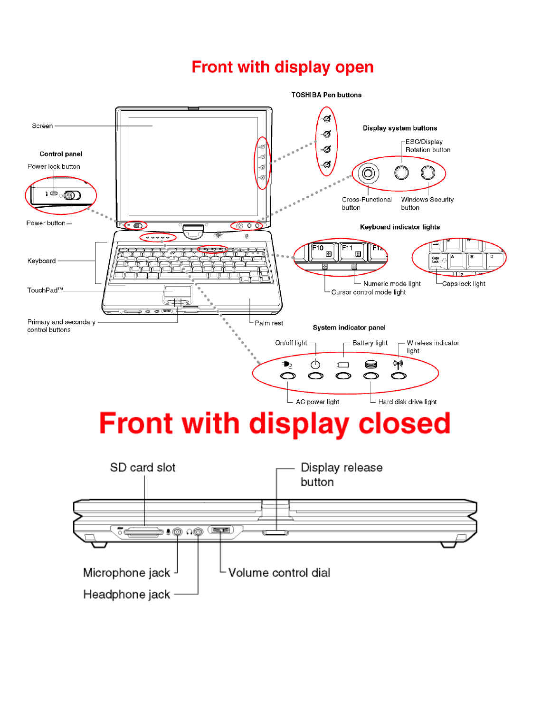## Front with display open

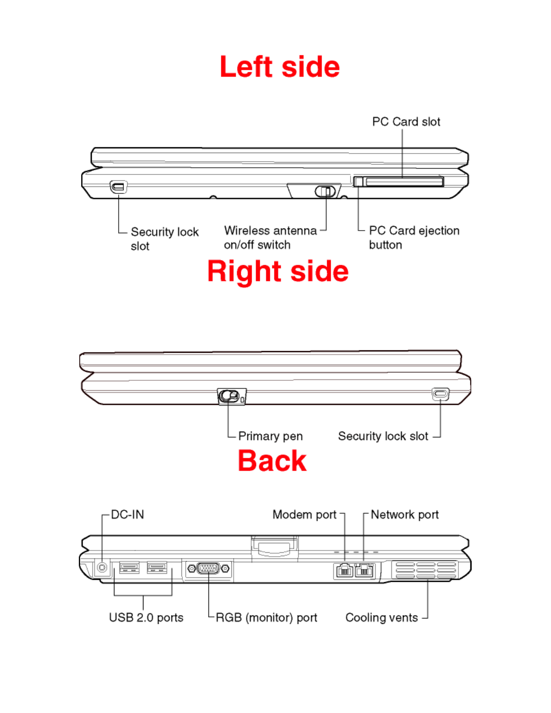# **Left side**